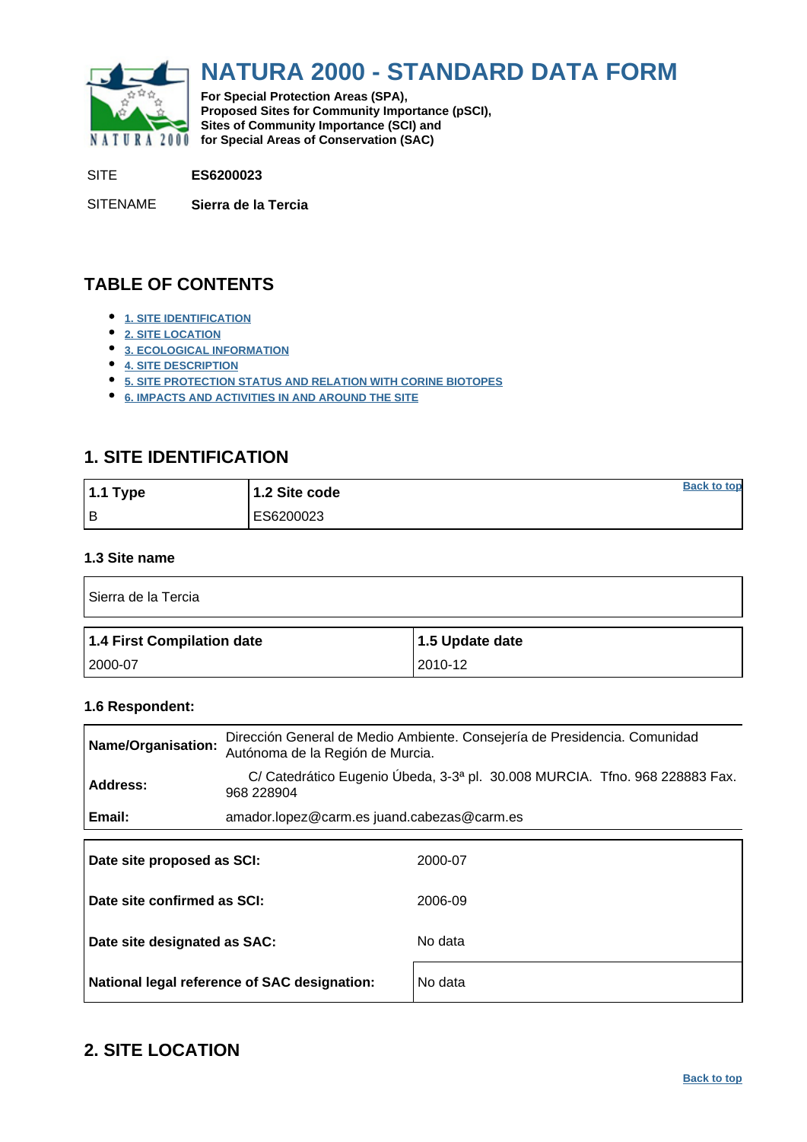<span id="page-0-0"></span>

# **NATURA 2000 - STANDARD DATA FORM**

**For Special Protection Areas (SPA), Proposed Sites for Community Importance (pSCI), Sites of Community Importance (SCI) and NATURA 2000 for Special Areas of Conservation (SAC)** 

SITE **ES6200023**

SITENAME **Sierra de la Tercia**

### **TABLE OF CONTENTS**

- **[1. SITE IDENTIFICATION](#page-0-1)**
- **[2. SITE LOCATION](#page-0-2)**
- **[3. ECOLOGICAL INFORMATION](#page-1-0)**
- **[4. SITE DESCRIPTION](#page-4-0)**
- **[5. SITE PROTECTION STATUS AND RELATION WITH CORINE BIOTOPES](#page-6-0)**
- **[6. IMPACTS AND ACTIVITIES IN AND AROUND THE SITE](#page-6-1)**

### <span id="page-0-1"></span>**1. SITE IDENTIFICATION**

| 1.1 Type | 1.2 Site code | <b>Back to top</b> |
|----------|---------------|--------------------|
| l B      | ES6200023     |                    |

### **1.3 Site name**

| Sierra de la Tercia        |                 |  |  |  |  |  |  |
|----------------------------|-----------------|--|--|--|--|--|--|
| 1.4 First Compilation date | 1.5 Update date |  |  |  |  |  |  |
|                            |                 |  |  |  |  |  |  |

### **1.6 Respondent:**

| Name/Organisation:          | Dirección General de Medio Ambiente. Consejería de Presidencia. Comunidad<br>Autónoma de la Región de Murcia. |  |  |  |  |  |  |  |  |  |
|-----------------------------|---------------------------------------------------------------------------------------------------------------|--|--|--|--|--|--|--|--|--|
| Address:                    | C/ Catedrático Eugenio Úbeda, 3-3ª pl. 30.008 MURCIA. Tfno. 968 228883 Fax.<br>968 228904                     |  |  |  |  |  |  |  |  |  |
| Email:                      | amador.lopez@carm.es juand.cabezas@carm.es                                                                    |  |  |  |  |  |  |  |  |  |
| Date site proposed as SCI:  | 2000-07                                                                                                       |  |  |  |  |  |  |  |  |  |
| Date site confirmed as SCI: | 2006-09                                                                                                       |  |  |  |  |  |  |  |  |  |

| Date site designated as SAC:                 | No data |
|----------------------------------------------|---------|
| National legal reference of SAC designation: | No data |

### <span id="page-0-2"></span>**2. SITE LOCATION**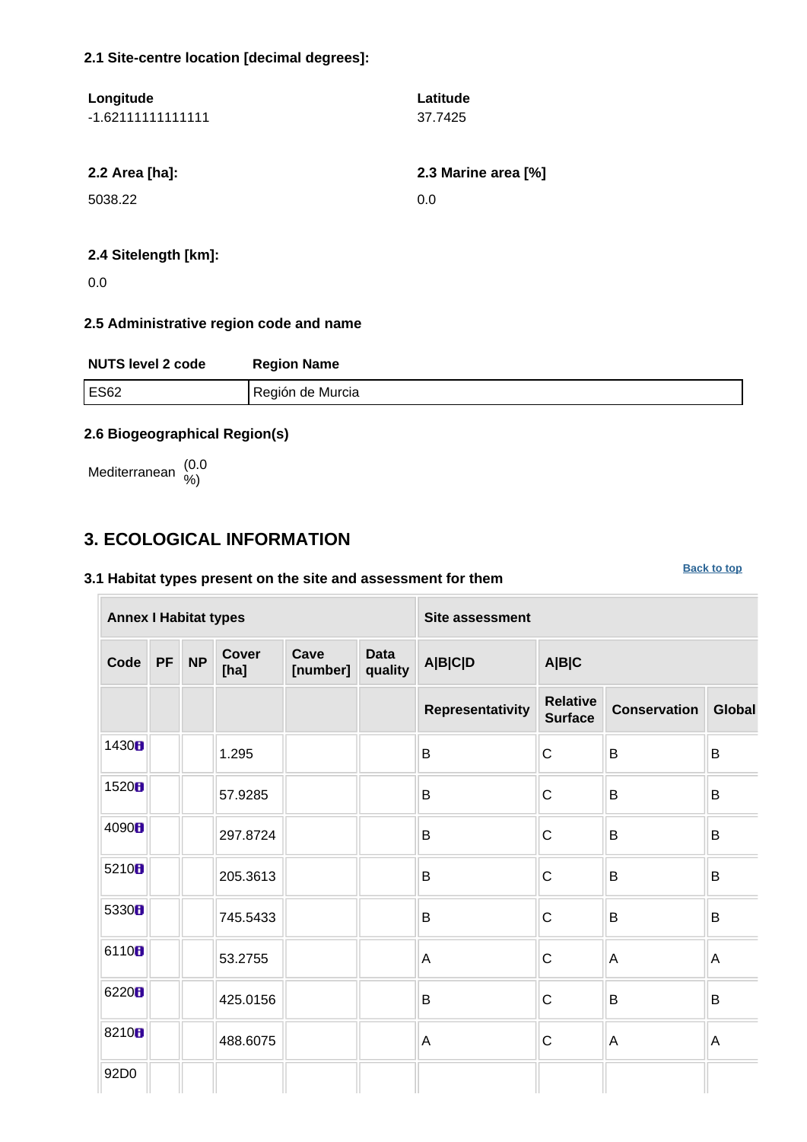### **2.1 Site-centre location [decimal degrees]:**

| Longitude<br>$-1.621111111111111$ | Latitude<br>37.7425 |
|-----------------------------------|---------------------|
| 2.2 Area [ha]:                    | 2.3 Marine area [%] |
| 5038.22                           | 0.0                 |
|                                   |                     |

### **2.4 Sitelength [km]:**

0.0

### **2.5 Administrative region code and name**

| <b>NUTS level 2 code</b> | <b>Region Name</b> |
|--------------------------|--------------------|
| <b>ES62</b>              | Región de Murcia   |

**[Back to top](#page-0-0)**

### **2.6 Biogeographical Region(s)**

Mediterranean (0.0 %)

### <span id="page-1-0"></span>**3. ECOLOGICAL INFORMATION**

### **3.1 Habitat types present on the site and assessment for them**

**Annex I Habitat types Site assessment Code PF NP Cover [ha] Cave [number] Data quality A|B|C|D A|B|C Representativity Relative Surface Conservation Global** 1430 **b**  $\begin{array}{|c|c|c|c|c|c|}\n\hline\n1 & 1.295 & & \text{B} & \text{C} & \text{B} & \text{B} \end{array}$ 1520  $\blacksquare$  57.9285  $\blacksquare$  B  $\blacksquare$  B  $\blacksquare$  B  $\blacksquare$  B  $\blacksquare$  B  $\begin{array}{c|c|c|c|c|c|c|c} \hline \multicolumn{1}{c|c|c|c} & \multicolumn{1}{c|c|c} & \multicolumn{1}{c|c|c} & \multicolumn{1}{c|c|c} \multicolumn{1}{c|c|c} & \multicolumn{1}{c|c|c} & \multicolumn{1}{c|c|c} & \multicolumn{1}{c|c|c} & \multicolumn{1}{c|c|c} & \multicolumn{1}{c|c|c} & \multicolumn{1}{c|c|c} & \multicolumn{1}{c|c|c} & \multicolumn{1}{c|c|c} & \multicolumn{1}{c|c|c}$ 5210  $\parallel$  205.3613 B B C B B 5330 **B**  $\begin{array}{|c|c|c|c|c|c|}\n\hline\n& 745.5433 & \text{B} & \text{C} & \text{B} & \text{B} \end{array}$ 6110  $\begin{array}{|c|c|c|c|c|}\n\hline\n & & 53.2755 & & A & C & A & A\n\end{array}$ 6220<mark>8</mark>  $\parallel$  425.0156 B B B C B B 8210  $\blacksquare$  488.6075  $\blacksquare$  A  $\blacksquare$  A  $\blacksquare$  A  $\blacksquare$  A 92D0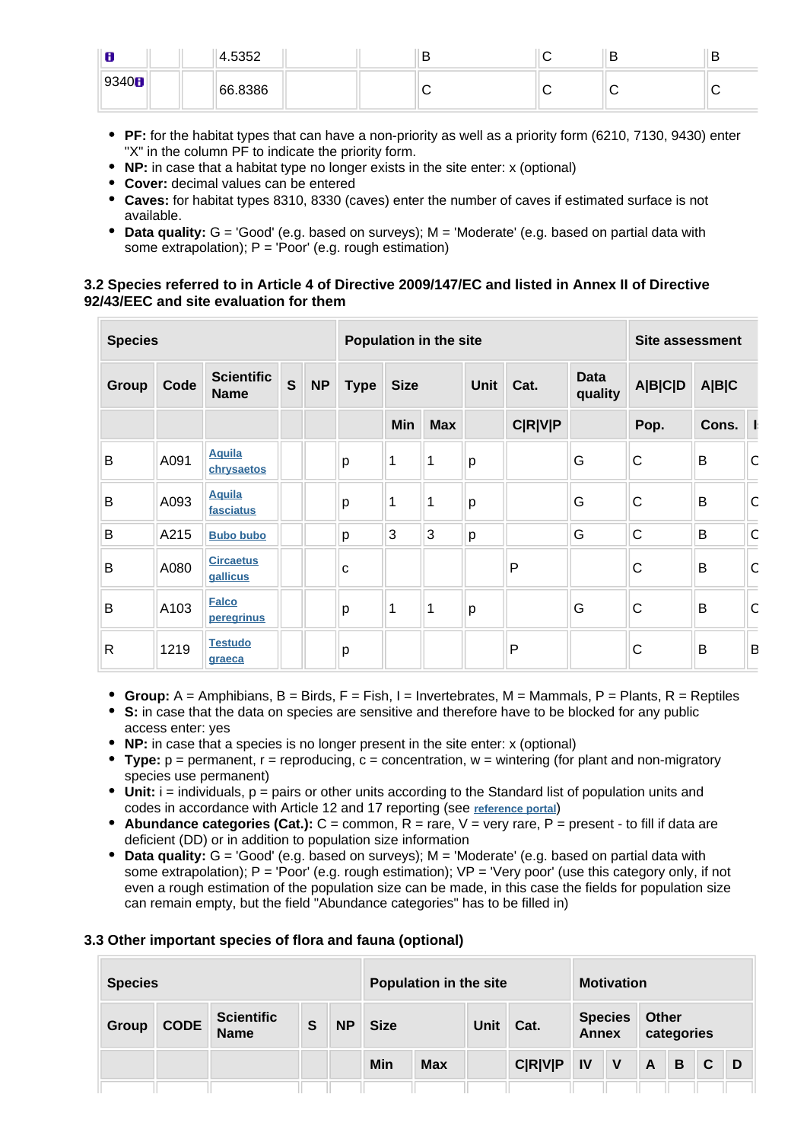| œ<br>o | 4.5352  |  | ь | D |
|--------|---------|--|---|---|
| 9340H  | 66.8386 |  |   |   |

- **PF:** for the habitat types that can have a non-priority as well as a priority form (6210, 7130, 9430) enter "X" in the column PF to indicate the priority form.
- **NP:** in case that a habitat type no longer exists in the site enter: x (optional)
- **Cover:** decimal values can be entered
- **Caves:** for habitat types 8310, 8330 (caves) enter the number of caves if estimated surface is not available.
- **Data quality:** G = 'Good' (e.g. based on surveys); M = 'Moderate' (e.g. based on partial data with some extrapolation);  $P = 'Poor'$  (e.g. rough estimation)

### **3.2 Species referred to in Article 4 of Directive 2009/147/EC and listed in Annex II of Directive 92/43/EEC and site evaluation for them**

| <b>Species</b> |      |                                  |              | Population in the site |             |             |             |             |                | Site assessment        |                |       |   |
|----------------|------|----------------------------------|--------------|------------------------|-------------|-------------|-------------|-------------|----------------|------------------------|----------------|-------|---|
| Group          | Code | <b>Scientific</b><br><b>Name</b> | $\mathbf{s}$ | <b>NP</b>              | <b>Type</b> | <b>Size</b> |             | <b>Unit</b> | Cat.           | <b>Data</b><br>quality | <b>A B C D</b> | A B C |   |
|                |      |                                  |              |                        |             | Min         | <b>Max</b>  |             | <b>C R V P</b> |                        | Pop.           | Cons. |   |
| B              | A091 | <b>Aquila</b><br>chrysaetos      |              |                        | р           | 1           | 1           | p           |                | G                      | $\mathsf{C}$   | B     | C |
| B              | A093 | <b>Aquila</b><br>fasciatus       |              |                        | p           | 1           | 1           | p           |                | G                      | C              | B     | C |
| B              | A215 | <b>Bubo bubo</b>                 |              |                        | p           | 3           | 3           | p           |                | G                      | $\mathsf{C}$   | B     | C |
| B              | A080 | <b>Circaetus</b><br>gallicus     |              |                        | C           |             |             |             | P              |                        | C              | B     | C |
| B              | A103 | <b>Falco</b><br>peregrinus       |              |                        | p           | 1           | $\mathbf 1$ | p           |                | G                      | $\mathsf{C}$   | B     | C |
| $\mathsf{R}$   | 1219 | <b>Testudo</b><br>graeca         |              |                        | p           |             |             |             | $\mathsf{P}$   |                        | C              | B     | B |

- **Group:**  $A =$  Amphibians,  $B =$  Birds,  $F =$  Fish,  $I =$  Invertebrates,  $M =$  Mammals,  $P =$  Plants,  $R =$  Reptiles
- **S:** in case that the data on species are sensitive and therefore have to be blocked for any public access enter: yes
- **NP:** in case that a species is no longer present in the site enter: x (optional)
- **Type:** p = permanent, r = reproducing, c = concentration, w = wintering (for plant and non-migratory species use permanent)
- Unit: i = individuals, p = pairs or other units according to the Standard list of population units and codes in accordance with Article 12 and 17 reporting (see **[reference portal](http://bd.eionet.europa.eu/activities/Natura_2000/reference_portal)**)
- **Abundance categories (Cat.):**  $C =$  common,  $R =$  rare,  $V =$  very rare,  $P =$  present to fill if data are deficient (DD) or in addition to population size information
- **Data quality:** G = 'Good' (e.g. based on surveys); M = 'Moderate' (e.g. based on partial data with some extrapolation); P = 'Poor' (e.g. rough estimation); VP = 'Very poor' (use this category only, if not even a rough estimation of the population size can be made, in this case the fields for population size can remain empty, but the field "Abundance categories" has to be filled in)

#### **3.3 Other important species of flora and fauna (optional)**

| <b>Species</b> |             |                                  |   |           |             | Population in the site |             |                |                                | <b>Motivation</b> |                            |   |              |   |  |
|----------------|-------------|----------------------------------|---|-----------|-------------|------------------------|-------------|----------------|--------------------------------|-------------------|----------------------------|---|--------------|---|--|
| Group          | <b>CODE</b> | <b>Scientific</b><br><b>Name</b> | S | <b>NP</b> | <b>Size</b> |                        | <b>Unit</b> | Cat.           | <b>Species</b><br><b>Annex</b> |                   | <b>Other</b><br>categories |   |              |   |  |
|                |             |                                  |   |           | Min         | <b>Max</b>             |             | <b>C R V P</b> | IV                             | $\mathsf{V}$      | $\mathsf{A}$               | B | $\mathbf{C}$ | D |  |
|                |             |                                  |   |           |             |                        |             |                |                                |                   |                            |   |              |   |  |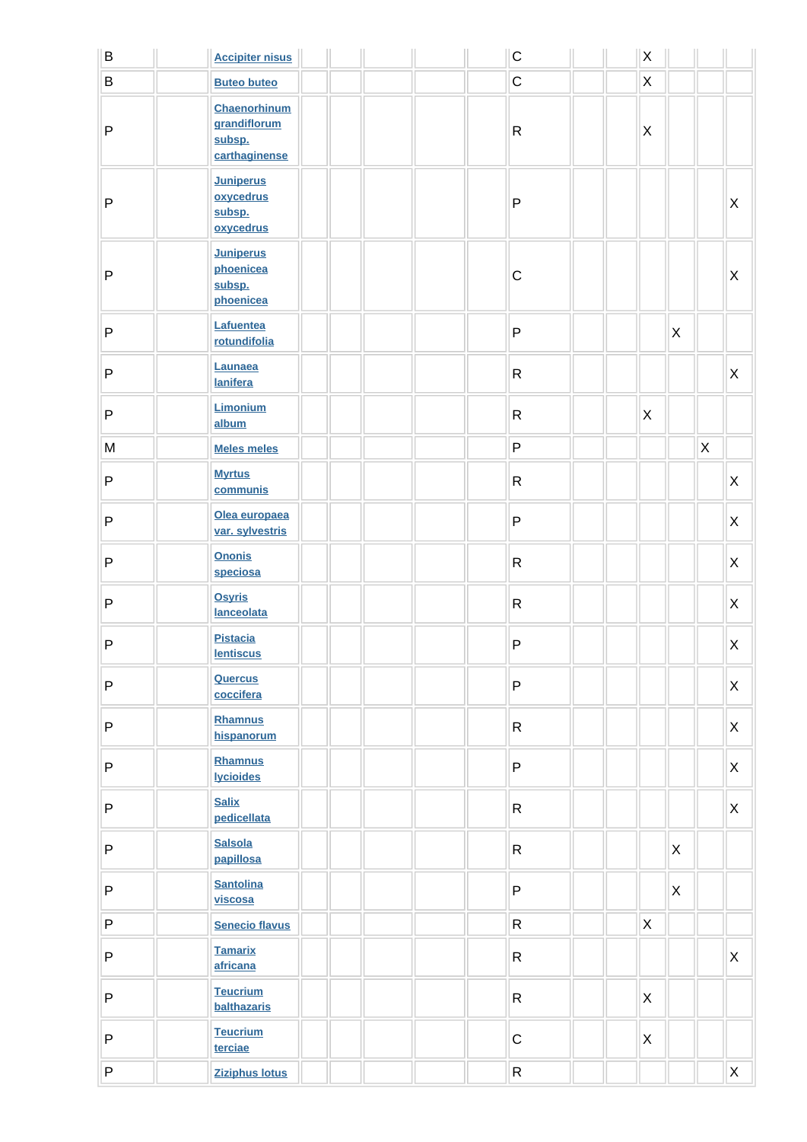| B | <b>Accipiter nisus</b>                                  |  |  | $\mathsf C$  | $\mathsf X$    |   |              |   |
|---|---------------------------------------------------------|--|--|--------------|----------------|---|--------------|---|
| B | <b>Buteo buteo</b>                                      |  |  | $\mathsf C$  | $\mathsf X$    |   |              |   |
| P | Chaenorhinum<br>grandiflorum<br>subsp.<br>carthaginense |  |  | $\mathsf{R}$ | $\mathsf X$    |   |              |   |
| P | <b>Juniperus</b><br>oxycedrus<br>subsp.<br>oxycedrus    |  |  | P            |                |   |              | Χ |
| P | <b>Juniperus</b><br>phoenicea<br>subsp.<br>phoenicea    |  |  | $\mathsf C$  |                |   |              | X |
| P | Lafuentea<br>rotundifolia                               |  |  | ${\sf P}$    |                | X |              |   |
| P | Launaea<br><b>lanifera</b>                              |  |  | ${\sf R}$    |                |   |              | X |
| P | Limonium<br>album                                       |  |  | $\mathsf{R}$ | $\pmb{\times}$ |   |              |   |
| M | <b>Meles meles</b>                                      |  |  | P            |                |   | $\mathsf{X}$ |   |
| P | <b>Myrtus</b><br>communis                               |  |  | $\mathsf{R}$ |                |   |              | X |
| P | Olea europaea<br>var. sylvestris                        |  |  | $\sf P$      |                |   |              | X |
| P | <b>Ononis</b><br>speciosa                               |  |  | $\mathsf{R}$ |                |   |              | X |
| P | <b>Osyris</b><br>lanceolata                             |  |  | R            |                |   |              | X |
| P | <b>Pistacia</b><br><b>lentiscus</b>                     |  |  | ${\sf P}$    |                |   |              | X |
| P | <b>Quercus</b><br>coccifera                             |  |  | $\mathsf{P}$ |                |   |              | X |
| P | <b>Rhamnus</b><br>hispanorum                            |  |  | $\mathsf{R}$ |                |   |              | X |
| P | Rhamnus<br><b>lycioides</b>                             |  |  | P            |                |   |              | X |
| P | <b>Salix</b><br>pedicellata                             |  |  | $\mathsf{R}$ |                |   |              | X |
| P | <b>Salsola</b><br>papillosa                             |  |  | $\mathsf{R}$ |                | X |              |   |
| P | <b>Santolina</b><br>viscosa                             |  |  | $\sf P$      |                | X |              |   |
| P | <b>Senecio flavus</b>                                   |  |  | ${\sf R}$    | $\mathsf X$    |   |              |   |
| P | <b>Tamarix</b><br>africana                              |  |  | $\mathsf{R}$ |                |   |              | X |
| P | <b>Teucrium</b><br>balthazaris                          |  |  | $\mathsf{R}$ | $\pmb{\times}$ |   |              |   |
| P | <b>Teucrium</b><br>terciae                              |  |  | $\mathsf C$  | $\mathsf X$    |   |              |   |
| P | <b>Ziziphus lotus</b>                                   |  |  | ${\sf R}$    |                |   |              | X |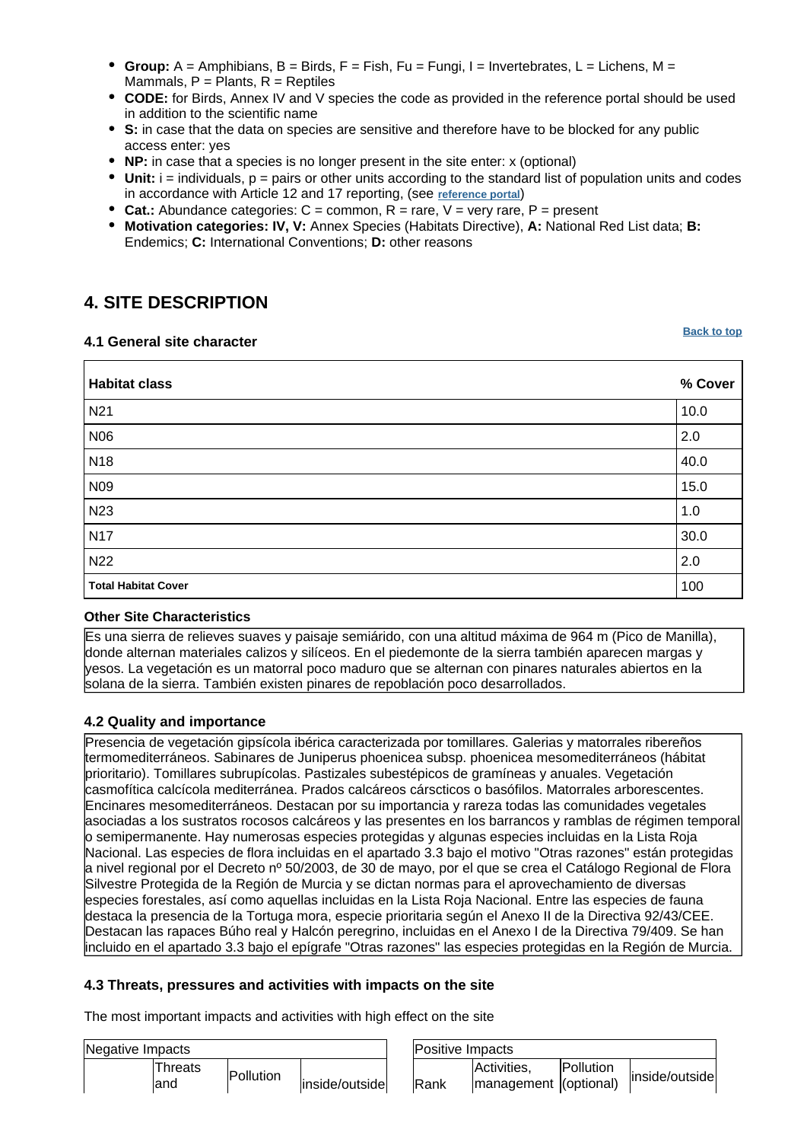- **Group:** A = Amphibians, B = Birds, F = Fish, Fu = Fungi, I = Invertebrates, L = Lichens, M = Mammals,  $P =$  Plants,  $R =$  Reptiles
- **CODE:** for Birds, Annex IV and V species the code as provided in the reference portal should be used in addition to the scientific name
- **S:** in case that the data on species are sensitive and therefore have to be blocked for any public access enter: yes
- **NP:** in case that a species is no longer present in the site enter: x (optional)
- $\bullet$  Unit: i = individuals,  $p =$  pairs or other units according to the standard list of population units and codes in accordance with Article 12 and 17 reporting, (see **[reference portal](http://bd.eionet.europa.eu/activities/Natura_2000/reference_portal)**)
- **Cat.:** Abundance categories:  $C =$  common,  $R =$  rare,  $V =$  very rare,  $P =$  present
- **Motivation categories: IV, V:** Annex Species (Habitats Directive), **A:** National Red List data; **B:** Endemics; **C:** International Conventions; **D:** other reasons

### <span id="page-4-0"></span>**4. SITE DESCRIPTION**

#### **4.1 General site character**

**[Back to top](#page-0-0)**

| <b>Habitat class</b>       | % Cover |
|----------------------------|---------|
| N <sub>21</sub>            | 10.0    |
| N06                        | 2.0     |
| N <sub>18</sub>            | 40.0    |
| N <sub>09</sub>            | 15.0    |
| N23                        | 1.0     |
| <b>N17</b>                 | 30.0    |
| N22                        | 2.0     |
| <b>Total Habitat Cover</b> | 100     |

#### **Other Site Characteristics**

Es una sierra de relieves suaves y paisaje semiárido, con una altitud máxima de 964 m (Pico de Manilla), donde alternan materiales calizos y silíceos. En el piedemonte de la sierra también aparecen margas y yesos. La vegetación es un matorral poco maduro que se alternan con pinares naturales abiertos en la solana de la sierra. También existen pinares de repoblación poco desarrollados.

### **4.2 Quality and importance**

Presencia de vegetación gipsícola ibérica caracterizada por tomillares. Galerias y matorrales ribereños termomediterráneos. Sabinares de Juniperus phoenicea subsp. phoenicea mesomediterráneos (hábitat prioritario). Tomillares subrupícolas. Pastizales subestépicos de gramíneas y anuales. Vegetación casmofítica calcícola mediterránea. Prados calcáreos cárscticos o basófilos. Matorrales arborescentes. Encinares mesomediterráneos. Destacan por su importancia y rareza todas las comunidades vegetales asociadas a los sustratos rocosos calcáreos y las presentes en los barrancos y ramblas de régimen temporal o semipermanente. Hay numerosas especies protegidas y algunas especies incluidas en la Lista Roja Nacional. Las especies de flora incluidas en el apartado 3.3 bajo el motivo "Otras razones" están protegidas a nivel regional por el Decreto nº 50/2003, de 30 de mayo, por el que se crea el Catálogo Regional de Flora Silvestre Protegida de la Región de Murcia y se dictan normas para el aprovechamiento de diversas especies forestales, así como aquellas incluidas en la Lista Roja Nacional. Entre las especies de fauna destaca la presencia de la Tortuga mora, especie prioritaria según el Anexo II de la Directiva 92/43/CEE. Destacan las rapaces Búho real y Halcón peregrino, incluidas en el Anexo I de la Directiva 79/409. Se han incluido en el apartado 3.3 bajo el epígrafe "Otras razones" las especies protegidas en la Región de Murcia.

### **4.3 Threats, pressures and activities with impacts on the site**

The most important impacts and activities with high effect on the site

| Negative Impacts |                  |                | <b>Positive Impacts</b> |                                      |                  |                |  |
|------------------|------------------|----------------|-------------------------|--------------------------------------|------------------|----------------|--|
| ⊺hreats<br>land  | <b>Pollution</b> | inside/outside | Rank                    | Activities.<br>management (optional) | <b>Pollution</b> | inside/outside |  |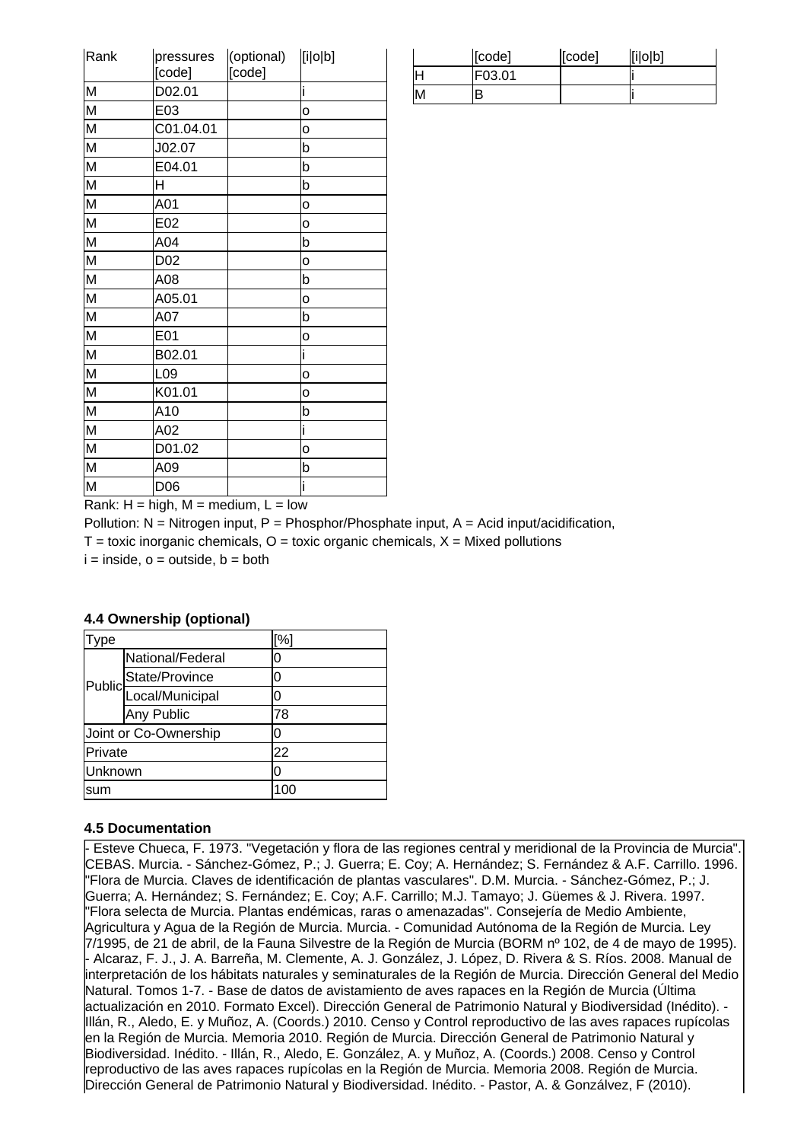| Rank                    | pressures<br>[code] | (optional)<br>[code] | [i o b]        |
|-------------------------|---------------------|----------------------|----------------|
| M                       | D02.01              |                      | i              |
| M                       | E03                 |                      | o              |
| M                       | C01.04.01           |                      | o              |
| $\overline{\mathsf{M}}$ | J02.07              |                      | b              |
| M                       | E04.01              |                      | b              |
| $\overline{\mathsf{M}}$ | H                   |                      | b              |
| $\overline{\mathsf{M}}$ | A01                 |                      | o              |
| M                       | E02                 |                      | o              |
| $\overline{\mathsf{M}}$ | A04                 |                      | b              |
| M                       | D <sub>02</sub>     |                      | o              |
| $\overline{\mathsf{M}}$ | A08                 |                      | b              |
| M                       | A05.01              |                      | $\overline{O}$ |
| $\overline{\mathsf{M}}$ | A07                 |                      | b              |
| M                       | E01                 |                      | o              |
| $\overline{\mathsf{M}}$ | B02.01              |                      | i              |
| $\overline{\mathsf{M}}$ | L09                 |                      | o              |
| M                       | K01.01              |                      | o              |
| M                       | A10                 |                      | b              |
| M                       | A02                 |                      | i              |
| $\overline{\mathsf{M}}$ | D01.02              |                      | o              |
| M                       | A09                 |                      | þ              |
| M                       | D <sub>06</sub>     |                      | i              |

|     | [code] | [code] | [i o b] |
|-----|--------|--------|---------|
| Ш   | F03.01 |        |         |
| IM. |        |        |         |

Rank:  $H = h$ igh,  $M = \text{medium}$ ,  $L = \text{low}$ 

Pollution:  $N =$  Nitrogen input, P = Phosphor/Phosphate input, A = Acid input/acidification,  $T =$  toxic inorganic chemicals,  $Q =$  toxic organic chemicals,  $X =$  Mixed pollutions  $i =$  inside,  $o =$  outside,  $b =$  both

| Type    |                                     | [%] |  |
|---------|-------------------------------------|-----|--|
|         | National/Federal                    |     |  |
|         |                                     | O   |  |
|         | Public<br>Public<br>Local/Municipal |     |  |
|         | Any Public                          | 78  |  |
|         | Joint or Co-Ownership               |     |  |
| Private |                                     | 22  |  |
| Unknown |                                     |     |  |
| sum     |                                     | 100 |  |

### **4.4 Ownership (optional)**

#### **4.5 Documentation**

- Esteve Chueca, F. 1973. "Vegetación y flora de las regiones central y meridional de la Provincia de Murcia". CEBAS. Murcia.
- Sánchez-Gómez, P.; J. Guerra; E. Coy; A. Hernández; S. Fernández & A.F. Carrillo. 1996. "Flora de Murcia. Claves de identificación de plantas vasculares". D.M. Murcia.
- Sánchez-Gómez, P.; J. Guerra; A. Hernández; S. Fernández; E. Coy; A.F. Carrillo; M.J. Tamayo; J. Güemes & J. Rivera. 1997. "Flora selecta de Murcia. Plantas endémicas, raras o amenazadas". Consejería de Medio Ambiente, Agricultura y Agua de la Región de Murcia. Murcia. - Comunidad Autónoma de la Región de Murcia. Ley 7/1995, de 21 de abril, de la Fauna Silvestre de la Región de Murcia (BORM nº 102, de 4 de mayo de 1995). - Alcaraz, F. J., J. A. Barreña, M. Clemente, A. J. González, J. López, D. Rivera & S. Ríos. 2008. Manual de interpretación de los hábitats naturales y seminaturales de la Región de Murcia. Dirección General del Medio Natural. Tomos 1-7. - Base de datos de avistamiento de aves rapaces en la Región de Murcia (Última actualización en 2010. Formato Excel). Dirección General de Patrimonio Natural y Biodiversidad (Inédito).
- Illán, R., Aledo, E. y Muñoz, A. (Coords.) 2010. Censo y Control reproductivo de las aves rapaces rupícolas en la Región de Murcia. Memoria 2010. Región de Murcia. Dirección General de Patrimonio Natural y Biodiversidad. Inédito. - Illán, R., Aledo, E. González, A. y Muñoz, A. (Coords.) 2008. Censo y Control reproductivo de las aves rapaces rupícolas en la Región de Murcia. Memoria 2008. Región de Murcia. Dirección General de Patrimonio Natural y Biodiversidad. Inédito. - Pastor, A. & Gonzálvez, F (2010).